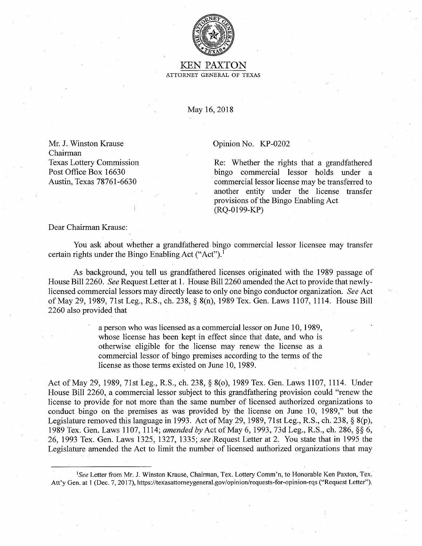

## KEN PAXTON ATTORNEY GENERAL OF TEXAS

May 16, 2018

Mr. J. Winston Krause Chairman Texas Lottery Commission Post Office Box 16630 Austin, Texas 78761-6630

## Opinion No. KP-0202

Re: Whether the rights that a grandfathered bingo commercial lessor holds under a commercial lessor license may be transferred to another entity under the license transfer provisions of the Bingo Enabling Act (RQ-0199-KP)

Dear Chairman Krause:

You ask about whether a grandfathered bingo commercial lessor licensee may transfer certain rights under the Bingo Enabling Act ("Act"). <sup>1</sup>

As background, you tell us grandfathered licenses originated with the 1989 passage of House Bill 2260. *See* Request Letter at 1. House Bill 2260 amended the Act to provide that newlylicensed commercial lessors may directly lease to only one bingo conductor organization. *See* Act of May 29, 1989, 71st Leg., R.S., ch. 238, § 8(n), 1989 Tex. Gen. Laws 1107, 1114. House Bill 2260 also provided that

> a person who was licensed as a commercial lessor on June 10, 1989, whose license has been kept in effect since that date, and who is otherwise eligible for the license may renew the license as a commercial lessor of bingo premises according to the terms of the license as those terms existed on June 10, 1989.

Act of May 29, 1989, 71st Leg., R.S., ch. 238, § 8(0), 1989 Tex. Gen. Laws 1107, 1114. Under House Bill 2260, a commercial lessor subject to this grandfathering provision could "renew the license to provide for not more than the same number of licensed authorized organizations to conduct bingo on the premises as was provided by the license on June 10, 1989," but the Legislature removed this language in 1993. Act of May 29, 1989, 71st Leg., R.S., ch. 238, § 8(p), 1989 Tex. Gen. Laws 1107, 1114; *amended by* Act of May 6, 1993, 73d Leg., R.S., ch. 286, §§ 6, 26, 1993 Tex. Gen. Laws 1325, 1327, 1335; *see* ,Request l;etter at 2. You state that in 1995 the Legislature amended the Act to limit the number of licensed authorized organizations that may

<sup>1</sup> *See* Letter from Mr. J. Winston Krause, Chairman, Tex. Lottery Comm'n, to Honorable Ken Paxton, Tex. Att'y Gen. at 1 (Dec. 7, 2017), https://texasattomeygeneral.gov/opinion/requests-for-opinion-rqs ("Request Letter").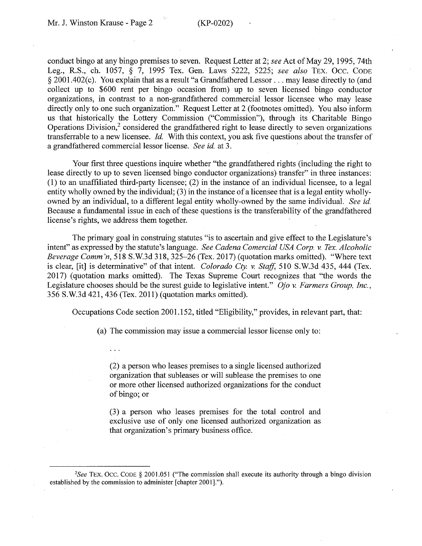conduct bingo at any bingo premises to seven. Request Letter at 2; *see* Act of May 29, 1995, 74th Leg., R.S., ch. 1057, § 7, 1995 Tex. Gen. Laws 5222, 5225; *see also* TEX. 0cc. CODE § 2001.402(c). You explain that as a result "a Grandfathered Lessor ... may lease directly to (and collect up to \$600 rent per bingo occasion from) up to seven licensed bingo conductor organizations, in contrast to a non-grandfathered commercial lessor licensee who may lease directly only to one such organization." Request Letter at 2 (footnotes omitted). You also inform us that historically the Lottery Commission ("Commission"), through its Charitable Bingo Operations Division, $<sup>2</sup>$  considered the grandfathered right to lease directly to seven organizations</sup> transferrable to a new licensee. *Id*. With this context, you ask five questions about the transfer of a grandfathered commercial lessor license. *See id.* at 3. '

Your first three questions inquire whether "the grandfathered rights (including the right to lease directly to up to seven licensed bingo conductor organizations) transfer" in three instances: (1) to an unaffiliated third-party licensee; (2) in the instance of an individual licensee, to a legal entity wholly owned by the individual; (3) in the instance of a licensee that is a legal entity whollyowned by an individual, to a different legal entity wholly-owned by the same individual. *See id.*  Because a fundamental issue in each of these questions is the transferability of the grandfathered license's rights, we address them together.

The primary goal in construing statutes "is to ascertain and give effect to the Legislature's intent" as expressed by the statute's language. *See Cadena Comercial USA Corp. v. Tex. Alcoholic Beverage Comm'n,* 518 S.W.3d 318, 325-26 (Tex. 2017) ( quotation marks omitted). "Where text is clear, [it] is determinative" of that intent. *Colorado Cty. v. Staff,* 510 S.W.3d 435, 444 (Tex. 2017) ( quotation marks omitted). The Texas Supreme Court recognizes that "the words the Legislature chooses should be the surest guide to legislative intent." *Ojo* v. *Farmers Group, Inc.,*  356 S.W.3d 421,436 (Tex. 2011) (quotation marks omitted).

Occupations Code section 2001.152, titled "Eligibility," provides, in relevant part, that:

(a) The commission may issue a commercial lessor license only to:

(2) a person who leases premises to a single licensed authorized organization that subleases or will sublease the premises to one or more other licensed authorized organizations for the conduct of bingo; or

(3) a person who leases premises for the total control and exclusive use of only one licensed authorized organization as that organization's primary business office.

<sup>2</sup> *See* TEX. 0cc. CODE § 2001.051 ("The commission shall execute its authority through a bingo division established by the commission to administer [chapter 2001].").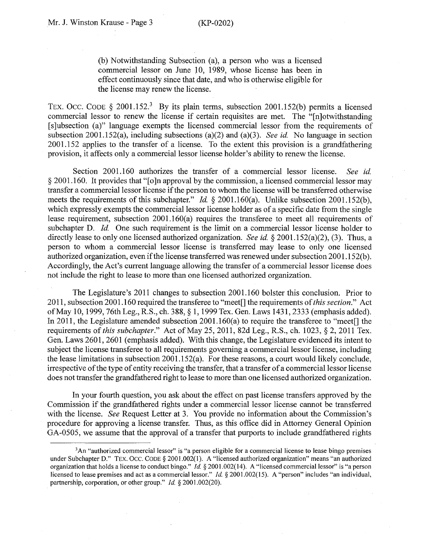(b) Notwithstanding Subsection (a), a person who was a licensed commercial lessor on June 10, 1989, whose license has been in effect continuously since that date, and who is otherwise eligible for the license may renew the license.

TEX. OCC. CODE § 2001.152.<sup>3</sup> By its plain terms, subsection 2001.152(b) permits a licensed commercial lessor to renew the license if certain requisites are met. The "[n]otwithstanding [s]ubsection (a)" language exempts the licensed commercial lessor from the requirements of subsection 2001.152(a), including subsections (a)(2) and (a)(3). *See id.* No language in section 2001.152 applies to the transfer of a license. To the extent this provision is a grandfathering provision, it affects only a commercial lessor license holder's ability to renew the license.

Section 2001.160 authorizes the transfer of a commercial lessor license. *See id.*  § 2001.160. It provides that "[0]n approval by the commission, a licensed commercial lessor may transfer a commercial lessor license if the person to whom the license will be transferred otherwise meets the requirements of this subchapter." *Id.* § 2001.160(a). Unlike subsection 2001.152(b), which expressly exempts the commercial lessor license holder as of a specific date from the single lease requirement, subsection 2001.160(a) requires the transferee to meet all requirements of subchapter D. *Id.* One such requirement is the limit on a commercial lessor license holder to directly lease to only one licensed authorized organization. *See id.* § 2001.152(a)(2), (3). Thus, a person to whom a commercial lessor license is transferred may lease to only one licensed authorized organization, even if the license transferred was renewed under subsection 2001.152(b). Accordingly, the Act's current language allowing the transfer of a commercial lessor license does not include the right to lease to more than one licensed authorized organization.

The Legislature's 2011 changes to subsection 2001.160 bolster this conclusion. Prior to 2011, subsection 2001.160 required the transferee to "meet[] the requirements of *this section."* Act of May 10, 1999, 76th Leg., R.S., ch. 388, § 1, 1999 Tex. Gen. Laws 1431, 2333 (emphasis added). In 2011, the Legislature amended subsection 2001.160(a) to require the transferee to "meet<sup>[]</sup> the requirements of *this subchapter."* Act of May 25, 2011, 82d Leg., R.S., ch. 1023, § 2, 2011 Tex. Gen. Laws 2601, 2601 (emphasis added). With this change, the Legislature evidenced its intent to subject the license transferee to all requirements governing a commercial lessor license, including the lease limitations in subsection 2001.152(a). For these reasons, a court would likely conclude, irrespective of the type of entity receiving the transfer, that a transfer of a commercial lessor license does not transfer the grandfathered right to lease to more than one licensed authorized organization.

In your fourth question, you ask about the effect on past license transfers approved by the Commission if the grandfathered rights under a commercial lessor license cannot be transferred with the license. *See* Request Letter at 3. You provide no information about the Commission's procedure for approving a license transfer. Thus, as this office did in Attorney General Opinion GA-0505, we assume that the approval of a transfer that purports to include grandfathered rights

<sup>&</sup>lt;sup>3</sup>An "authorized commercial lessor" is "a person eligible for a commercial license to lease bingo premises under Subchapter D." TEX. OCC. CODE § 2001.002(1). A "licensed authorized organization" means "an authorized organization that holds a license to conduct bingo." *Id.* § 2001.002(14). A "licensed commercial lessor" is "a person licensed to lease premises and act as a commercial lessor." *Id.* § 2001.002(15). A "person" includes "an individual, partnership, corporation, or other group." *Id.* § 2001.002(20).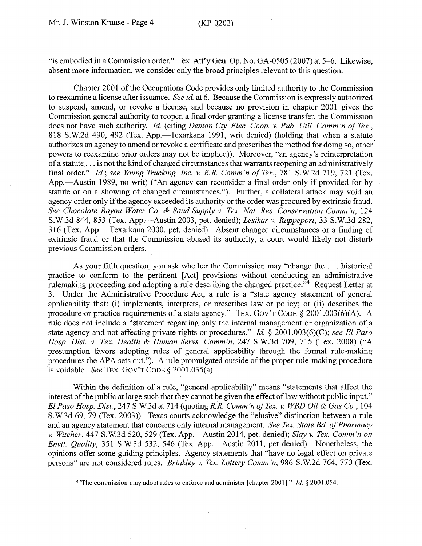"is embodied in a Commission order." Tex. Att'y Gen. Op. No. GA-0505 (2007) at 5-6. Likewise, absent more information, we consider only the broad principles relevant to this question.

Chapter 2001 of the Occupations Code provides only limited authority to the Commission to reexamine a license after issuance. *See id.* at 6. Because the Commission is expressly authorized to suspend, amend, or revoke a license, and because no provision in chapter 2001 gives the Commission general authority to reopen a final order granting a license transfer, the Commission does not have such authority. *Id.* ( citing *Denton Cty. Elec. Coop. v. Pub. Util. Comm 'n of Tex.,*  818 S.W.2d 490, 492 (Tex. App.—Texarkana 1991, writ denied) (holding that when a statute authorizes an agency to amend or revoke a certificate and prescribes the method for doing so, other powers to reexamine prior orders may not be implied)). Moreover, "an agency's reinterpretation of a statute ... is not the kind of changed circumstances that warrants reopening an administratively final order." *Id.; see Young Trucking, Inc. v. R.R. Comm'n of Tex.,* 781 S.W.2d 719, 721 (Tex. App.—Austin 1989, no writ) ("An agency can reconsider a final order only if provided for by statute or on a showing of changed circumstances."). Further, a collateral attack may void an agency order only if the agency exceeded its authority or the order was procured by extrinsic fraud. *See Chocolate Bayou Water Co. & Sand Supply v. Tex. Nat. Res. Conservation Comm 'n,* 124 S.W.3d 844, 853 (Tex. App.-Austin 2003, pet. denied); *Lesikar v. Rappeport,* 33 S.W.3d 282, 316 (Tex. App.-Texarkana 2000, pet. denied). Absent changed circumstances or a finding of extrinsic fraud or that the Commission abused its authority, a court would likely not disturb previous Commission orders.

As your fifth question, you ask whether the Commission may "change the ... historical practice to conform to the pertinent [Act] provisions without conducting an administrative rulemaking proceeding and adopting a rule describing the changed practice.<sup>74</sup> Request Letter at 3. Under the Administrative Procedure Act, a rule is a "state agency statement of general applicability that: (i) implements, interprets, or prescribes law or policy; or (ii) describes the procedure or practice requirements of a state agency." TEX. GOV'T CODE § 2001.003(6)(A). A rule does not include a "statement regarding only the internal management or organization of a state agency and not affecting private rights or procedures." *Id.* § 2001.003(6)(C); *see El Paso Hosp. Dist. v. Tex. Health & Human Servs. Comm 'n,* 247 S.W.3d 709, 715 (Tex. 2008) ("A presumption favors adopting rules of general applicability through the formal rule-making procedures the APA sets out."). A rule promulgated outside of the proper rule-making procedure is voidable. *See* TEX. Gov'T CODE§ 2001.035(a).

Within the definition of a rule, "general applicability" means "statements that affect the interest of the public at large such that they cannot be given the effect of law without public input." *El Paso Hosp. Dist.,* 247 S.W.3d at 714 (quoting *R.R. Comm 'n of Tex. v. WBD Oil & Gas Co.,* 104 S.W.3d 69, 79 (Tex. 2003)). Texas courts acknowledge the "elusive" distinction between a rule and an agency statement that concerns only internal management. *See Tex. State Bd. of Pharmacy v. Witcher,* 447 S.W.3d 520, 529 (Tex. App.-Austin 2014, pet. denied); *Slay v. Tex. Comm 'non Envtl. Quality,* 351 S.W.3d 532, 546 (Tex. App.—Austin 2011, pet denied). Nonetheless, the opinions offer some guiding principles. Agency statements that "have no legal effect on private persons" are not considered rules. *Brinkley v. Tex. Lottery Comm 'n,* 986 S.W.2d 764, 770 (Tex.

<sup>4</sup>"The commission may adopt rules to enforce and administer [chapter 2001]." *Id.§* 2001.054.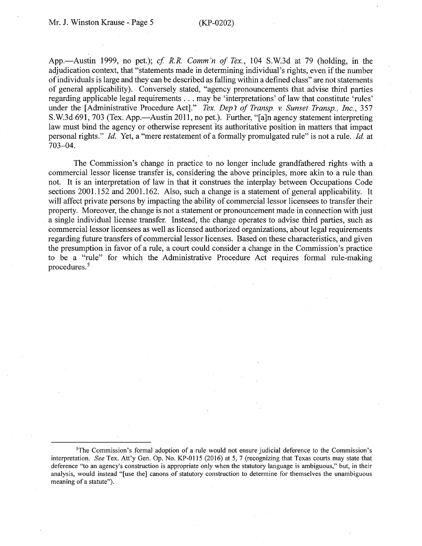App.—Austin 1999, no pet.); *cf. R.R. Comm'n of Tex.*, 104 S.W.3d at 79 (holding, in the adjudication context, that "statements made in determining individual's rights, even if the number of individuals is large and they can be described as falling within a defined class" are not statements of general applicability). Conversely stated, "agency pronouncements that advise third parties regarding applicable legal requirements ... may be 'interpretations' of law that constitute 'rules' under the [Administrative Procedure Act]." *Tex. Dep't of Transp. v. Sunset Transp., Inc.*, 357 S.W.3d 691, 703 (Tex. App.—Austin 2011, no pet.). Further, "[a]n agency statement interpreting law must bind the agency or otherwise represent its authoritative position in matters that impact personal rights." *Id.* Yet, a "mere restatement of a formally promulgated rule" is not a rule. *Id.* at 703-04.

The Commission's change in practice to no longer include grandfathered rights with a commercial lessor license transfer is, considering the above principles, more akin to a rule than not. It is an interpretation of law in that it construes the interplay between Occupations Code sections 2001.152 and 2001.162. Also, such a change is a statement of general applicability. It will affect private persons by impacting the ability of commercial lessor licensees to transfer their property. Moreover, the change is not a statement or pronouncement made in connection with just a single individual license transfer. Instead, the change operates to advise third parties, such as commercial lessor licensees as well as licensed authorized organizations, about legal requirements regarding future transfers of commercial lessor licenses. Based on these characteristics, and given the presumption in favor of a rule, a court could consider a change in the Commission's practice to be a "rule" for which the Administrative Procedure Act requires formal rule-making procedures. <sup>5</sup>

<sup>&</sup>lt;sup>5</sup>The Commission's formal adoption of a rule would not ensure judicial deference to the Commission's interpretation. *See* Tex. Att'y Gen. Op. No. KP-0115 (2016) at 5, 7 (recognizing that Texas courts may state that deference "to an agency's construction is appropriate only when the statutory language is ambiguous," but, in their analysis, would instead "[use the] canons of statutory construction to determine for themselves the unambiguous meaning of a statute").